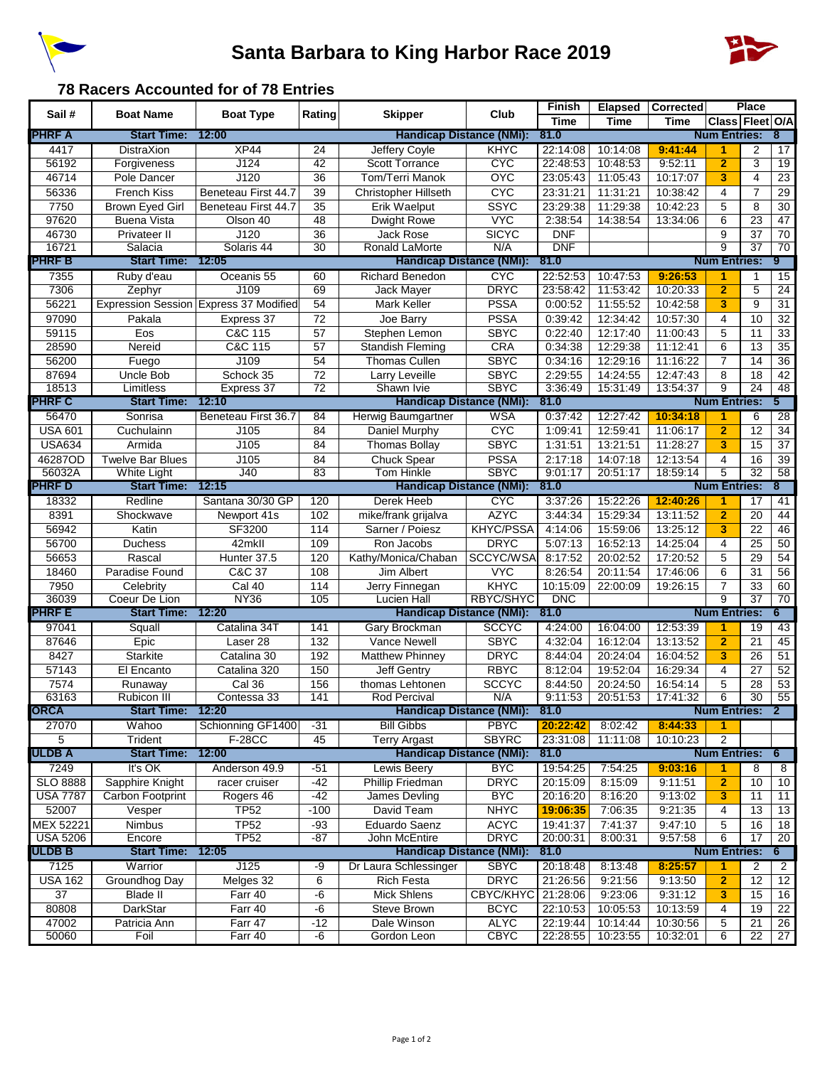



## **78 Racers Accounted for of 78 Entries**

| Sail#            | <b>Boat Name</b>        | <b>Boat Type</b>                       | Rating          | <b>Skipper</b>                  | Club                       | Finish               | <b>Elapsed</b>     | <b>Corrected</b>   |                         | Place           |                 |
|------------------|-------------------------|----------------------------------------|-----------------|---------------------------------|----------------------------|----------------------|--------------------|--------------------|-------------------------|-----------------|-----------------|
|                  |                         |                                        |                 |                                 |                            | <b>Time</b>          | <b>Time</b>        | <b>Time</b>        | Class Fleet O/A         |                 |                 |
| <b>PHRF A</b>    | <b>Start Time:</b>      | 12:00                                  |                 | <b>Handicap Distance (NMi):</b> |                            | 81.0                 |                    |                    | <b>Num Entries:</b>     |                 | 8               |
| 4417             | <b>DistraXion</b>       | XP44                                   | 24              | Jeffery Coyle                   | <b>KHYC</b>                | 22:14:08             | 10:14:08           | 9:41:44            | 1                       | 2               | 17              |
| 56192            | Forgiveness             | J124                                   | $\overline{42}$ | <b>Scott Torrance</b>           | <b>CYC</b>                 | 22:48:53             | 10:48:53           | 9:52:11            | $\overline{2}$          | 3               | $\overline{19}$ |
| 46714            | Pole Dancer             | J120                                   | $\overline{36}$ | Tom/Terri Manok                 | <b>OXC</b>                 | 23:05:43             | 11:05:43           | 10:17:07           | 3                       | 4               | $\overline{23}$ |
| 56336            | French Kiss             | Beneteau First 44.7                    | 39              | Christopher Hillseth            | <b>CYC</b>                 | 23:31:21             | 11:31:21           | 10:38:42           | 4                       | $\overline{7}$  | $\overline{29}$ |
| 7750             | Brown Eyed Girl         | Beneteau First 44.7                    | 35              | Erik Waelput                    | <b>SSYC</b>                | 23:29:38             | 11:29:38           | 10:42:23           | 5                       | 8               | 30              |
| 97620            | <b>Buena Vista</b>      | Olson 40                               | 48              | Dwight Rowe                     | <b>VYC</b>                 | 2:38:54              | 14:38:54           | 13:34:06           | 6                       | 23              | 47              |
| 46730            | Privateer II            | J120                                   | $\overline{36}$ | <b>Jack Rose</b>                | <b>SICYC</b>               | <b>DNF</b>           |                    |                    | 9                       | 37              | 70              |
| 16721            | Salacia                 | Solaris 44                             | $\overline{30}$ | Ronald LaMorte                  | N/A                        | <b>DNF</b>           |                    |                    | 9                       | $\overline{37}$ | $\overline{70}$ |
| <b>PHRF B</b>    | <b>Start Time:</b>      | 12:05                                  |                 | <b>Handicap Distance (NMi):</b> |                            | 81.0                 |                    |                    | <b>Num Entries:</b>     |                 | 9               |
| 7355             | Ruby d'eau              | Oceanis 55                             | 60              | <b>Richard Benedon</b>          | <b>C<sub>A</sub>C</b>      | 22:52:53             | 10:47:53           | 9:26:53            | 1                       | 1               | 15              |
| 7306             | Zephyr                  | J109                                   | 69              | <b>Jack Maver</b>               | <b>DRYC</b>                | 23:58:42             | 11:53:42           | 10:20:33           | $\overline{2}$          | 5               | 24              |
| 56221            |                         | Expression Session Express 37 Modified | 54              | Mark Keller                     | <b>PSSA</b>                | 0:00:52              | 11:55:52           | 10:42:58           | 3                       | 9               | $\overline{31}$ |
| 97090            | Pakala                  | Express 37                             | $\overline{72}$ | Joe Barry                       | <b>PSSA</b>                | 0:39:42              | 12:34:42           | 10:57:30           | $\overline{4}$          | 10              | 32              |
| 59115            | Eos                     | C&C 115                                | 57              | Stephen Lemon                   | <b>SBYC</b>                | 0:22:40              | 12:17:40           | 11:00:43           | 5                       | 11              | 33              |
| 28590            | Nereid                  | C&C 115                                | 57              | Standish Fleming                | <b>CRA</b>                 | 0:34:38              | 12:29:38           | 11:12:41           | 6                       | 13              | $\overline{35}$ |
| 56200            | Fuego                   | J109                                   | 54              | <b>Thomas Cullen</b>            | <b>SBYC</b>                | 0:34:16              | 12:29:16           | 11:16:22           | $\overline{7}$          | 14              | $\overline{36}$ |
|                  |                         | Schock 35                              |                 |                                 |                            |                      |                    |                    | 8                       | 18              |                 |
| 87694            | Uncle Bob<br>Limitless  |                                        | 72<br>72        | Larry Leveille<br>Shawn Ivie    | <b>SBYC</b><br><b>SBYC</b> | 2:29:55              | 14:24:55           | 12:47:43           | $\overline{9}$          | 24              | 42<br>48        |
| 18513            | <b>Start Time:</b>      | Express 37<br>12:10                    |                 | <b>Handicap Distance (NMi):</b> |                            | 3:36:49<br>81.0      | 15:31:49           | 13:54:37           | <b>Num Entries:</b>     |                 | 5               |
| <b>PHRF C</b>    |                         |                                        |                 |                                 |                            |                      |                    |                    |                         |                 |                 |
| 56470            | Sonrisa                 | Beneteau First 36.7                    | 84              | Herwig Baumgartner              | <b>WSA</b>                 | 0:37:42              | 12:27:42           | 10:34:18           | 1                       | 6               | 28              |
| <b>USA 601</b>   | Cuchulainn              | J105                                   | 84              | Daniel Murphy                   | <b>CYC</b>                 | 1:09:41              | 12:59:41           | 11:06:17           | $\overline{2}$          | $\overline{12}$ | $\overline{34}$ |
| <b>USA634</b>    | Armida                  | J105                                   | 84              | <b>Thomas Bollay</b>            | <b>SBYC</b>                | 1:31:51              | 13:21:51           | 11:28:27           | 3                       | 15              | $\overline{37}$ |
| 46287OD          | <b>Twelve Bar Blues</b> | J105                                   | 84              | <b>Chuck Spear</b>              | <b>PSSA</b>                | 2:17:18              | 14:07:18           | 12:13:54           | $\overline{\mathbf{4}}$ | 16              | 39              |
| 56032A           | <b>White Light</b>      | J40                                    | 83              | <b>Tom Hinkle</b>               | <b>SBYC</b>                | 9:01:17              | 20:51:17           | 18:59:14           | 5                       | $\overline{32}$ | 58              |
| <b>PHRF D</b>    | <b>Start Time:</b>      | 12:15                                  |                 | <b>Handicap Distance (NMi):</b> |                            | 81.0                 |                    |                    | <b>Num Entries:</b>     |                 | 8               |
| 18332            | Redline                 | Santana 30/30 GP                       | 120             | Derek Heeb                      | <b>CYC</b>                 | 3:37:26              | 15:22:26           | 12:40:26           | 1                       | 17              | 41              |
| 8391             | Shockwave               | Newport 41s                            | 102             | mike/frank grijalva             | <b>AZYC</b>                | 3:44:34              | 15:29:34           | 13:11:52           | $\overline{2}$          | $\overline{20}$ | 44              |
| 56942            | Katin                   | SF3200                                 | 114             | Sarner / Poiesz                 | <b>KHYC/PSSA</b>           | 4:14:06              | 15:59:06           | 13:25:12           | 3                       | $\overline{22}$ | $\overline{46}$ |
| 56700            | <b>Duchess</b>          | 42mkll                                 | 109             | Ron Jacobs                      | <b>DRYC</b>                | 5:07:13              | 16:52:13           | 14:25:04           | $\overline{4}$          | 25              | 50              |
| 56653            | Rascal                  | Hunter 37.5                            | 120             | Kathy/Monica/Chaban             | SCCYC/WSA                  | 8:17:52              | 20:02:52           | 17:20:52           | 5                       | $\overline{29}$ | 54              |
| 18460            | Paradise Found          | C&C 37                                 | 108             | Jim Albert                      | <b>VYC</b>                 | 8:26:54              | 20:11:54           | 17:46:06           | 6                       | 31              | 56              |
| 7950             | Celebrity               | Cal 40                                 | 114             | Jerry Finnegan                  | KHYC                       | 10:15:09             | 22:00:09           | 19:26:15           | 7                       | 33              | 60              |
| 36039            | Coeur De Lion           | <b>NY36</b>                            | 105             | <b>Lucien Hall</b>              | RBYC/SHYC                  | <b>DNC</b>           |                    |                    | 9                       | $\overline{37}$ | 70              |
| <b>PHRF E</b>    | Start Time: 12:20       |                                        |                 | <b>Handicap Distance (NMi):</b> |                            | 81.0                 |                    |                    | <b>Num Entries:</b>     |                 | 6               |
| 97041            | Squall                  | Catalina 34T                           | 141             | Gary Brockman                   | <b>SCCYC</b>               | 4:24:00              | 16:04:00           | 12:53:39           | 1                       | 19              | 43              |
| 87646            | Epic                    | Laser 28                               | 132             | Vance Newell                    | <b>SBYC</b>                | 4:32:04              | 16:12:04           | 13:13:52           | $\overline{2}$          | $\overline{21}$ | 45              |
| 8427             | <b>Starkite</b>         | Catalina 30                            | 192             | Matthew Phinney                 | <b>DRYC</b>                | 8:44:04              | 20:24:04           | 16:04:52           | 3                       | 26              | 51              |
| 57143            | El Encanto              | Catalina 320                           | 150             | <b>Jeff Gentry</b>              | <b>RBYC</b>                | 8:12:04              | 19:52:04           | 16:29:34           | 4                       | 27              | 52              |
| 7574             | Runaway                 | Cal 36                                 | 156             | thomas Lehtonen                 | <b>SCCYC</b>               | 8:44:50              | 20:24:50           | 16:54:14           | 5                       | 28              | 53              |
| 63163            | <b>Rubicon III</b>      | Contessa 33                            | 141             | <b>Rod Percival</b>             | N/A                        | 9:11:53              | 20:51:53           | 17:41:32           | 6                       | $\overline{30}$ | $\overline{55}$ |
| <b>ORCA</b>      | <b>Start Time:</b>      | 12:20                                  |                 | Handicap Distance (NMi):        |                            | 81.0                 |                    |                    | <b>Num Entries: 2</b>   |                 |                 |
| 27070            | Wahoo                   | Schionning GF1400                      | -31             | <b>Bill Gibbs</b>               | <b>PBYC</b>                | 20:22:42             | 8:02:42            | 8:44:33            | $\blacktriangleleft$    |                 |                 |
| 5                | Trident                 | <b>F-28CC</b>                          | 45              | <b>Terry Argast</b>             | <b>SBYRC</b>               | 23:31:08             | 11:11:08           | 10:10:23           | 2                       |                 |                 |
| <b>ULDB A</b>    | <b>Start Time:</b>      | 12:00                                  |                 | <b>Handicap Distance (NMi):</b> |                            | 81.0                 |                    |                    | <b>Num Entries:</b>     |                 | $6\phantom{.}6$ |
| 7249             | It's OK                 | Anderson 49.9                          | $-51$           | Lewis Beery                     | <b>B<sub>XC</sub></b>      | 19:54:25             | 7:54:25            | 9:03:16            | 1                       | 8               | 8               |
| <b>SLO 8888</b>  | Sapphire Knight         | racer cruiser                          | $-42$           | <b>Phillip Friedman</b>         | <b>DRYC</b>                | 20:15:09             | 8:15:09            | 9:11:51            | $\overline{2}$          | 10              | 10              |
| <b>USA 7787</b>  | Carbon Footprint        | Rogers 46                              | $-42$           | James Devling                   | <b>BYC</b>                 | 20:16:20             | 8:16:20            | 9:13:02            | 3                       | 11              | 11              |
| 52007            | Vesper                  | <b>TP52</b>                            | $-100$          | David Team                      | <b>NHYC</b>                | 19:06:35             | 7:06:35            | 9:21:35            | 4                       | 13              | 13              |
| <b>MEX 52221</b> | <b>Nimbus</b>           |                                        |                 |                                 |                            |                      |                    |                    |                         |                 |                 |
| <b>USA 5206</b>  | Encore                  | <b>TP52</b><br><b>TP52</b>             | $-93$<br>$-87$  | Eduardo Saenz<br>John McEntire  | <b>ACYC</b><br><b>DRYC</b> | 19:41:37<br>20:00:31 | 7:41:37<br>8:00:31 | 9:47:10<br>9:57:58 | 5<br>6                  | 16<br>17        | 18<br>20        |
| <b>ULDB B</b>    | <b>Start Time:</b>      | 12:05                                  |                 | <b>Handicap Distance (NMi):</b> |                            | 81.0                 |                    |                    | <b>Num Entries:</b>     |                 | 6.              |
| 7125             | Warrior                 | J125                                   | -9              | Dr Laura Schlessinger           | <b>SBYC</b>                | 20:18:48             | 8:13:48            | 8:25:57            |                         | 2               | $\overline{2}$  |
| <b>USA 162</b>   |                         |                                        |                 | <b>Rich Festa</b>               |                            |                      | 9:21:56            |                    | 1                       |                 |                 |
|                  | <b>Groundhog Day</b>    | Melges 32                              | 6               |                                 | <b>DRYC</b>                | 21:26:56             |                    | 9:13:50            | $\overline{2}$          | 12              | 12              |
| $\overline{37}$  | <b>Blade II</b>         | Farr 40                                | $-6$            | Mick Shlens                     | <b>CBYC/KHYC</b>           | 21:28:06             | 9:23:06            | 9:31:12            | 3                       | 15              | 16              |
| 80808            | DarkStar                | Farr 40                                | $-6$            | Steve Brown                     | <b>BCYC</b>                | 22:10:53             | 10:05:53           | 10:13:59           | 4                       | 19              | 22              |
| 47002            | Patricia Ann            | Farr 47                                | $-12$           | Dale Winson                     | <b>ALYC</b>                | 22:19:44             | 10:14:44           | 10:30:56           | 5                       | 21              | 26              |
| 50060            | Foil                    | Farr 40                                | $-6$            | Gordon Leon                     | <b>CBYC</b>                | 22:28:55             | 10:23:55           | 10:32:01           | 6                       | $\overline{22}$ | 27              |